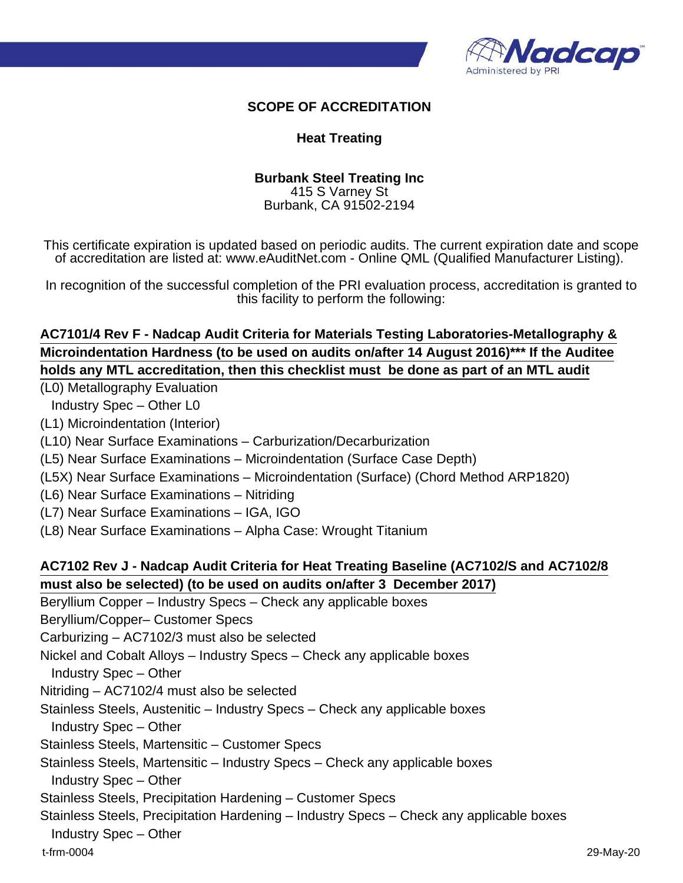

#### **SCOPE OF ACCREDITATION**

#### **Heat Treating**

#### **Burbank Steel Treating Inc** 415 S Varney St

Burbank, CA 91502-2194

This certificate expiration is updated based on periodic audits. The current expiration date and scope of accreditation are listed at: www.eAuditNet.com - Online QML (Qualified Manufacturer Listing).

In recognition of the successful completion of the PRI evaluation process, accreditation is granted to this facility to perform the following:

# **AC7101/4 Rev F - Nadcap Audit Criteria for Materials Testing Laboratories-Metallography & Microindentation Hardness (to be used on audits on/after 14 August 2016)\*\*\* If the Auditee holds any MTL accreditation, then this checklist must be done as part of an MTL audit**

(L0) Metallography Evaluation

Industry Spec – Other L0

(L1) Microindentation (Interior)

(L10) Near Surface Examinations – Carburization/Decarburization

(L5) Near Surface Examinations – Microindentation (Surface Case Depth)

(L5X) Near Surface Examinations – Microindentation (Surface) (Chord Method ARP1820)

(L6) Near Surface Examinations – Nitriding

(L7) Near Surface Examinations – IGA, IGO

(L8) Near Surface Examinations – Alpha Case: Wrought Titanium

### **AC7102 Rev J - Nadcap Audit Criteria for Heat Treating Baseline (AC7102/S and AC7102/8 must also be selected) (to be used on audits on/after 3 December 2017)**

Beryllium Copper – Industry Specs – Check any applicable boxes

Beryllium/Copper– Customer Specs

Carburizing – AC7102/3 must also be selected

Nickel and Cobalt Alloys – Industry Specs – Check any applicable boxes

Industry Spec – Other

Nitriding – AC7102/4 must also be selected

Stainless Steels, Austenitic – Industry Specs – Check any applicable boxes

Industry Spec – Other

Stainless Steels, Martensitic – Customer Specs

Stainless Steels, Martensitic – Industry Specs – Check any applicable boxes

Industry Spec – Other

Stainless Steels, Precipitation Hardening – Customer Specs

Stainless Steels, Precipitation Hardening – Industry Specs – Check any applicable boxes

Industry Spec – Other

t-frm-0004 29-May-20